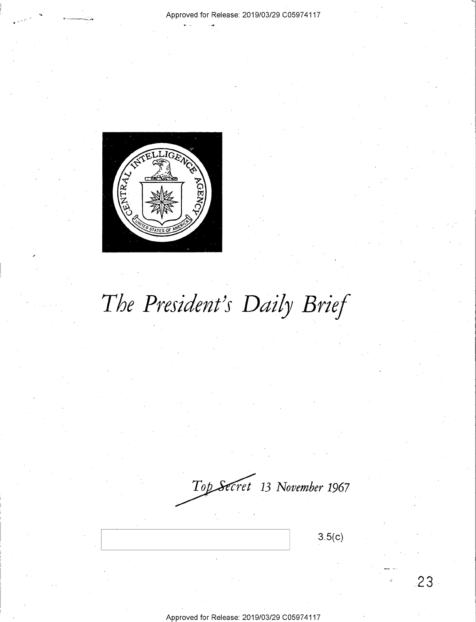#### Approved for Release: 2019/03/29 C0597 4117



# *The President's Daily Brief*

 $Top$ *Secret* 13 November 1967

3.5(c)

**23**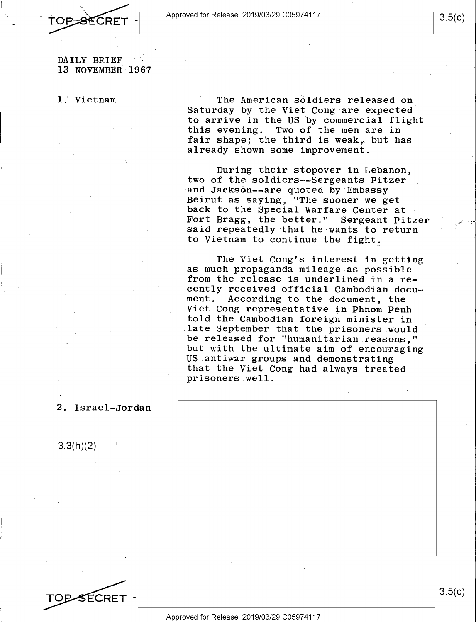.;.. - \_ . :::~ Approved for Release: 2019/03/29 C0597 4117 **TOP SECRET** - **Approved for Release: 2019/03/29 C05974117** 

DAILY BRIEF 13 NOVEMBER 1967

l .' Vietnam The American soldiers released on Saturday by the Viet Cong are expected to arrive in the US by commercial flight this evening. Two of the men are in fair shape; the third is weak, but has already shown some improvement.

> During their stopover in Lebanon, two of the soldiers--Sergeants Pitzer and Jackson--are quoted by Embassy Beirut as saying, "The sooner we get back to the Special Warfare Center at Fort Bragg, the better." Sergeant Pitzer said repeatedly that he wants to return to Vietnam to continue the fight.

The Viet Cong's interest in getting as much propaganda mileage as possible from the release is underlined in a recently received official Cambodian docu-<br>ment. According to the document, the According to the document, the Viet Cong representative in Phnom Penh told the Cambodian foreign minister in late September that the prisoners would be released for "humanitarian reasons," but with the ultimate aim of encouraging US antiwar groups and demonstrating that the Viet Cong had always treated prisoners well.

2. Israel-Jordan

3.3(h)(2)

3.5(c)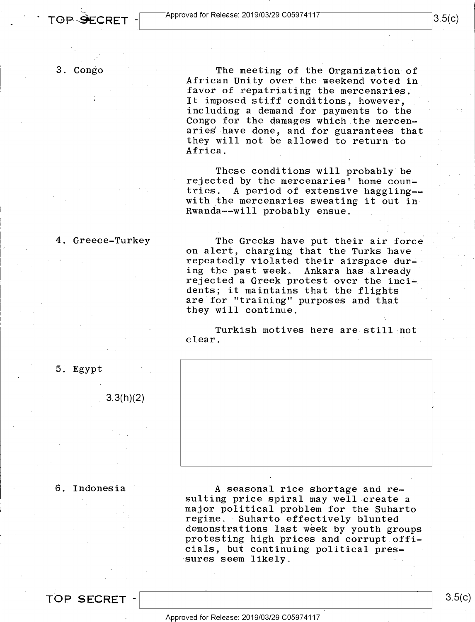The meeting of the Organization of African Unity over the weekend voted in favor of repatriating the mercenaries. It imposed stiff conditions, however, including a demand for payments to the Congo for the damages which the mercenaries have done, and for guarantees that they will not be allowed to return to Africa.

These conditions will probably be rejected by the mercenaries' home couqtries. A period of extensive haggling- with the mercenaries sweating it out in Rwanda--will probably ensue.

#### 4. Greece-Turkey

The Greeks have put their air force on alert, charging that the Turks bave repeatedly violated their airspace during the past week. Ankara has already rejected a Greek protest over the incidents; it maintains that the flights are for "training" purposes and that they will continue.

Turkish motives here are still not clear.



3.3(h)(2)

5. Egypt

#### 6. Indonesia

A seasonal rice shortage and resulting price spiral may well create a major political problem for the Suharto regime. Suharto effectively blunted demonstrations last week by youth groups protesting high prices and corrupt officials, but continuing political pres- ·sures seem likely.

**TOP SECRET** -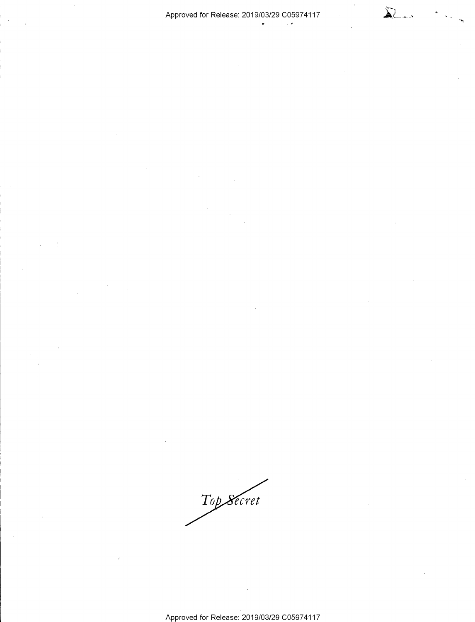#### Approved for Release: 2019/03/29 C05974117

 $\sim$   $\epsilon$ 

 $\sum$ *}--,~·---·* 

Top Secret

Approved for Release: 2019/03/29 C0597 4117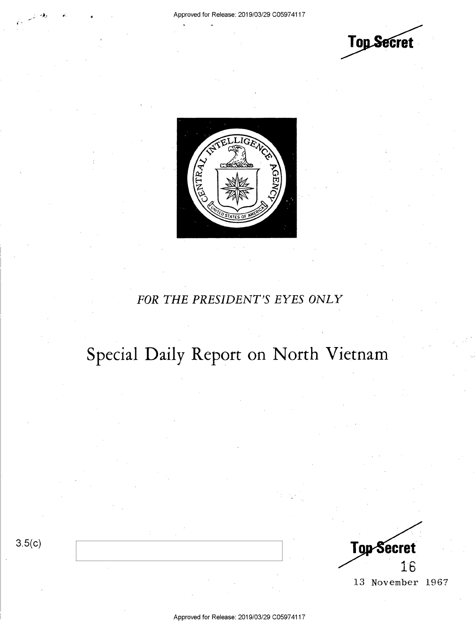



### *FOR THE PRESIDENT'S EYES ONLY*

## **Special Daily Report on North Vietnam**

3.5(c)



Approved for Release: 2019/03/29 C0597 4117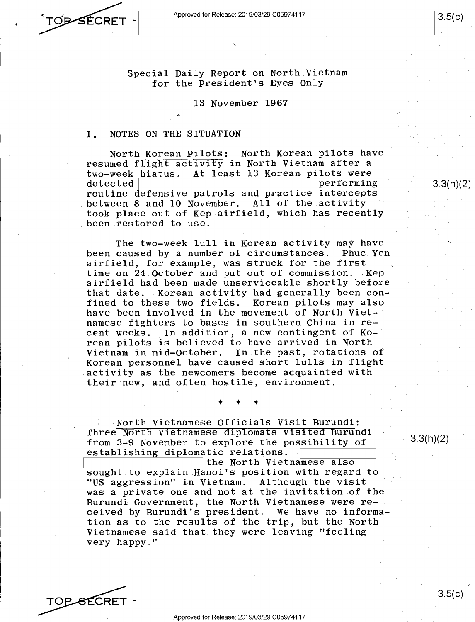Approved for Release: 2019/03/29 C0597 4117

TOPSECRET -

3.5(c)

3.3(h)(2)

Special Daily Report on North Vietnam for the President's Eyes Only

13 November 1967

#### I. NOTES ON THE SITUATION

North Korean Pilots: North Korean pilots have resumed flight activity in North Vietnam after a two-week hiatus. At least 13 Korean pilots were<br>detected performing routine defensive patrols and practice intercepts between 8 and 10 November. All of the activity took place out of Kep airfield, which has recently been restored to use.

The two-week lull in Korean activity may have been caused by a number of circumstances. Phuc Yen airfield, for example, was struck for the first time on 24 October and put out of commission. Kep airfield had been made unserviceable shortly before that date. Korean activity had generally been confined to these two fields. Korean pilots may also have been involved in the movement of North Vietnamese fighters to bases in southern China in recent weeks. In addition, a new contingent of Korean pilots is believed to have arrived in North Vietnam in mid-October. In the past, rotations of Korean personnel have caused short lulls in flight activity as the newcomers become acquainted with their new, and often hostile, environment.

\* \* \*

North Vietnamese Officials Visit Burundi: Three North Vietnamese diplomats visited Burundi from 3-9 November to explore the possibility of establishing diplomatic relations.

the North Vietnamese also sought to explain Hanoi's position with regard to "US aggression" in Vietnam. Although the visit was a private one and not at the invitation of the Burundi Government, the North Vietnamese were received by Burundi's president. We have no information as to the results of the trip, but the North Vietnamese said that they were leaving "feeling very happy."

3.3(h)(2)

TOP SECRET -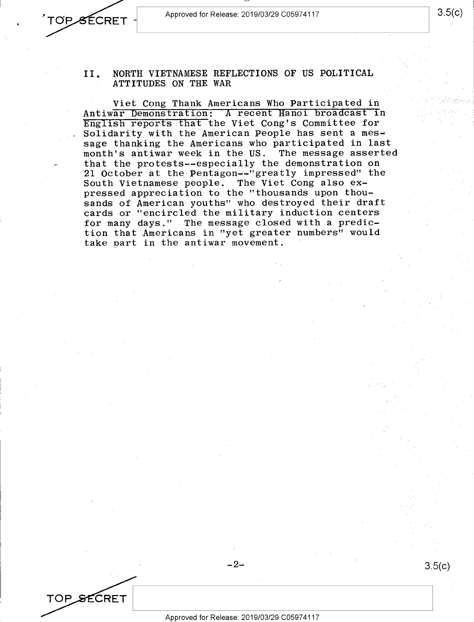Approved for Release: 2019/03/29 C0597 4117

OPSECRET -

TOP SECRET

Viet Cong Thank Americans Who Participated in Antiwar Demonstration: A recent Hanoi broadcast in English reports that the Viet Cong's Committee for Solidarity with the American People has sent a message thanking the Americans who participated in last<br>month's antiwar week in the US. The message asserted month's antiwar week in the US. that the protests--especially the demonstration on 21 October at the Pentagon--"greatly impressed" the South Vietnamese people. The Viet Cong also expressed appreciation to the "thousands upon thousands of American youths" who destroyed their draft cards or "encircled the military induction centers for many days." The message closed with a prediction that Americans in "yet greater numbers" would take part **in** the antiwar movement.

 $-2-$ 

3.5(c)